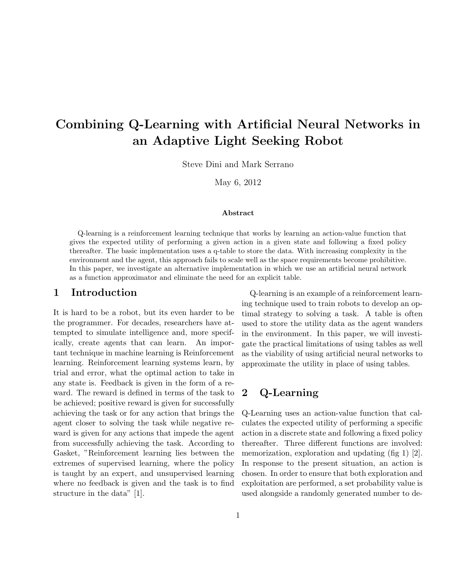# Combining Q-Learning with Artificial Neural Networks in an Adaptive Light Seeking Robot

Steve Dini and Mark Serrano

May 6, 2012

#### Abstract

Q-learning is a reinforcement learning technique that works by learning an action-value function that gives the expected utility of performing a given action in a given state and following a fixed policy thereafter. The basic implementation uses a q-table to store the data. With increasing complexity in the environment and the agent, this approach fails to scale well as the space requirements become prohibitive. In this paper, we investigate an alternative implementation in which we use an artificial neural network as a function approximator and eliminate the need for an explicit table.

### 1 Introduction

It is hard to be a robot, but its even harder to be the programmer. For decades, researchers have attempted to simulate intelligence and, more specifically, create agents that can learn. An important technique in machine learning is Reinforcement learning. Reinforcement learning systems learn, by trial and error, what the optimal action to take in any state is. Feedback is given in the form of a reward. The reward is defined in terms of the task to be achieved; positive reward is given for successfully achieving the task or for any action that brings the agent closer to solving the task while negative reward is given for any actions that impede the agent from successfully achieving the task. According to Gasket, "Reinforcement learning lies between the extremes of supervised learning, where the policy is taught by an expert, and unsupervised learning where no feedback is given and the task is to find structure in the data" [1].

Q-learning is an example of a reinforcement learning technique used to train robots to develop an optimal strategy to solving a task. A table is often used to store the utility data as the agent wanders in the environment. In this paper, we will investigate the practical limitations of using tables as well as the viability of using artificial neural networks to approximate the utility in place of using tables.

### 2 Q-Learning

Q-Learning uses an action-value function that calculates the expected utility of performing a specific action in a discrete state and following a fixed policy thereafter. Three different functions are involved: memorization, exploration and updating (fig 1) [2]. In response to the present situation, an action is chosen. In order to ensure that both exploration and exploitation are performed, a set probability value is used alongside a randomly generated number to de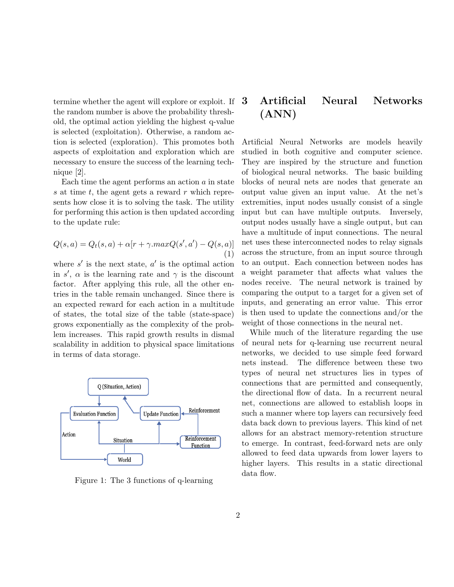termine whether the agent will explore or exploit. If the random number is above the probability threshold, the optimal action yielding the highest q-value is selected (exploitation). Otherwise, a random action is selected (exploration). This promotes both aspects of exploitation and exploration which are necessary to ensure the success of the learning technique [2].

Each time the agent performs an action  $a$  in state s at time  $t$ , the agent gets a reward  $r$  which represents how close it is to solving the task. The utility for performing this action is then updated according to the update rule:

$$
Q(s,a) = Q_t(s,a) + \alpha[r + \gamma.maxQ(s',a') - Q(s,a)]
$$
  
(1)

where  $s'$  is the next state,  $a'$  is the optimal action in s',  $\alpha$  is the learning rate and  $\gamma$  is the discount factor. After applying this rule, all the other entries in the table remain unchanged. Since there is an expected reward for each action in a multitude of states, the total size of the table (state-space) grows exponentially as the complexity of the problem increases. This rapid growth results in dismal scalability in addition to physical space limitations in terms of data storage.



Figure 1: The 3 functions of q-learning

# 3 Artificial Neural Networks (ANN)

Artificial Neural Networks are models heavily studied in both cognitive and computer science. They are inspired by the structure and function of biological neural networks. The basic building blocks of neural nets are nodes that generate an output value given an input value. At the net's extremities, input nodes usually consist of a single input but can have multiple outputs. Inversely, output nodes usually have a single output, but can have a multitude of input connections. The neural net uses these interconnected nodes to relay signals across the structure, from an input source through to an output. Each connection between nodes has a weight parameter that affects what values the nodes receive. The neural network is trained by comparing the output to a target for a given set of inputs, and generating an error value. This error is then used to update the connections and/or the weight of those connections in the neural net.

While much of the literature regarding the use of neural nets for q-learning use recurrent neural networks, we decided to use simple feed forward nets instead. The difference between these two types of neural net structures lies in types of connections that are permitted and consequently, the directional flow of data. In a recurrent neural net, connections are allowed to establish loops in such a manner where top layers can recursively feed data back down to previous layers. This kind of net allows for an abstract memory-retention structure to emerge. In contrast, feed-forward nets are only allowed to feed data upwards from lower layers to higher layers. This results in a static directional data flow.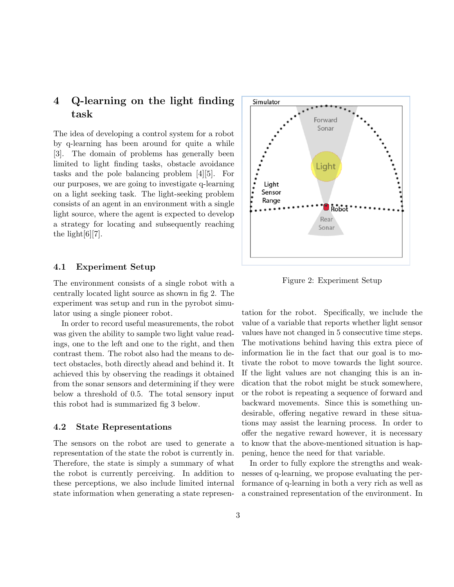# 4 Q-learning on the light finding task

The idea of developing a control system for a robot by q-learning has been around for quite a while [3]. The domain of problems has generally been limited to light finding tasks, obstacle avoidance tasks and the pole balancing problem [4][5]. For our purposes, we are going to investigate q-learning on a light seeking task. The light-seeking problem consists of an agent in an environment with a single light source, where the agent is expected to develop a strategy for locating and subsequently reaching the light $[6][7]$ .

#### 4.1 Experiment Setup

The environment consists of a single robot with a centrally located light source as shown in fig 2. The experiment was setup and run in the pyrobot simulator using a single pioneer robot.

In order to record useful measurements, the robot was given the ability to sample two light value readings, one to the left and one to the right, and then contrast them. The robot also had the means to detect obstacles, both directly ahead and behind it. It achieved this by observing the readings it obtained from the sonar sensors and determining if they were below a threshold of 0.5. The total sensory input this robot had is summarized fig 3 below.

#### 4.2 State Representations

The sensors on the robot are used to generate a representation of the state the robot is currently in. Therefore, the state is simply a summary of what the robot is currently perceiving. In addition to these perceptions, we also include limited internal state information when generating a state represen-



Figure 2: Experiment Setup

tation for the robot. Specifically, we include the value of a variable that reports whether light sensor values have not changed in 5 consecutive time steps. The motivations behind having this extra piece of information lie in the fact that our goal is to motivate the robot to move towards the light source. If the light values are not changing this is an indication that the robot might be stuck somewhere, or the robot is repeating a sequence of forward and backward movements. Since this is something undesirable, offering negative reward in these situations may assist the learning process. In order to offer the negative reward however, it is necessary to know that the above-mentioned situation is happening, hence the need for that variable.

In order to fully explore the strengths and weaknesses of q-learning, we propose evaluating the performance of q-learning in both a very rich as well as a constrained representation of the environment. In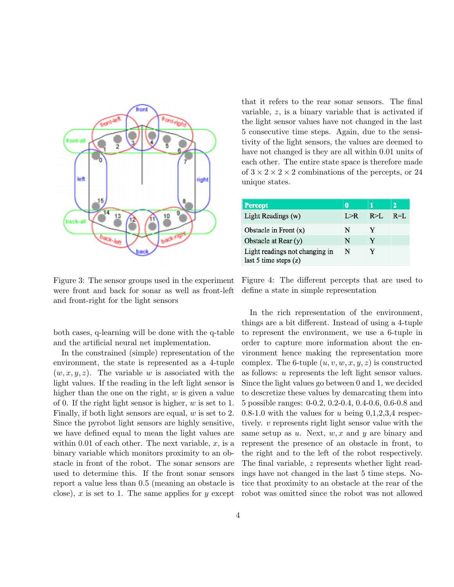

Figure 3: The sensor groups used in the experiment were front and back for sonar as well as front-left and front-right for the light sensors

both cases, q-learning will be done with the q-table and the artificial neural net implementation.

In the constrained (simple) representation of the environment, the state is represented as a 4-tuple  $(w, x, y, z)$ . The variable w is associated with the light values. If the reading in the left light sensor is higher than the one on the right,  $w$  is given a value of 0. If the right light sensor is higher, w is set to 1. Finally, if both light sensors are equal, w is set to 2. Since the pyrobot light sensors are highly sensitive, we have defined equal to mean the light values are within 0.01 of each other. The next variable,  $x$ , is a binary variable which monitors proximity to an obstacle in front of the robot. The sonar sensors are used to determine this. If the front sonar sensors report a value less than 0.5 (meaning an obstacle is close), x is set to 1. The same applies for y except

that it refers to the rear sonar sensors. The final variable, z, is a binary variable that is activated if the light sensor values have not changed in the last 5 consecutive time steps. Again, due to the sensitivity of the light sensors, the values are deemed to have not changed is they are all within 0.01 units of each other. The entire state space is therefore made of  $3 \times 2 \times 2 \times 2$  combinations of the percepts, or 24 unique states.

| <b>Percept</b>                                            |       |           | 2       |
|-----------------------------------------------------------|-------|-----------|---------|
| Light Readings (w)                                        | I > R | $R > I$ . | $R=1$ . |
| Obstacle in Front $(x)$                                   | N     |           |         |
| Obstacle at Rear $(y)$                                    | N     | Y         |         |
| Light readings not changing in<br>last 5 time steps $(z)$ | N     |           |         |

Figure 4: The different percepts that are used to define a state in simple representation

In the rich representation of the environment, things are a bit different. Instead of using a 4-tuple to represent the environment, we use a 6-tuple in order to capture more information about the environment hence making the representation more complex. The 6-tuple  $(u, v, w, x, y, z)$  is constructed as follows: u represents the left light sensor values. Since the light values go between 0 and 1, we decided to descretize these values by demarcating them into 5 possible ranges: 0-0.2, 0.2-0.4, 0.4-0.6, 0.6-0.8 and 0.8-1.0 with the values for u being  $0,1,2,3,4$  respectively. v represents right light sensor value with the same setup as  $u$ . Next,  $w, x$  and  $y$  are binary and represent the presence of an obstacle in front, to the right and to the left of the robot respectively. The final variable, z represents whether light readings have not changed in the last 5 time steps. Notice that proximity to an obstacle at the rear of the robot was omitted since the robot was not allowed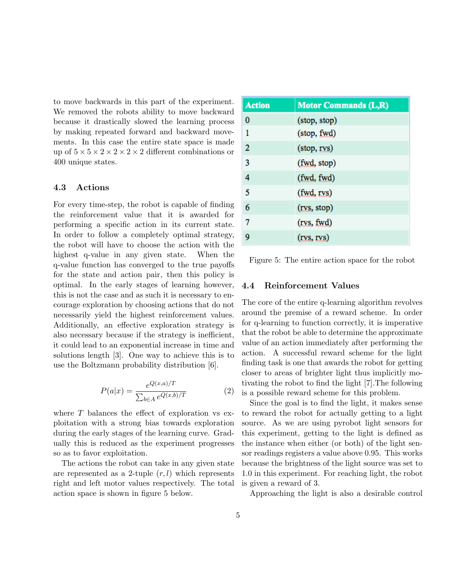to move backwards in this part of the experiment. We removed the robots ability to move backward because it drastically slowed the learning process by making repeated forward and backward movements. In this case the entire state space is made up of  $5 \times 5 \times 2 \times 2 \times 2 \times 2$  different combinations or 400 unique states.

### 4.3 Actions

For every time-step, the robot is capable of finding the reinforcement value that it is awarded for performing a specific action in its current state. In order to follow a completely optimal strategy, the robot will have to choose the action with the highest q-value in any given state. When the q-value function has converged to the true payoffs for the state and action pair, then this policy is optimal. In the early stages of learning however, this is not the case and as such it is necessary to encourage exploration by choosing actions that do not necessarily yield the highest reinforcement values. Additionally, an effective exploration strategy is also necessary because if the strategy is inefficient, it could lead to an exponential increase in time and solutions length [3]. One way to achieve this is to use the Boltzmann probability distribution [6].

$$
P(a|x) = \frac{e^{Q(x,a)/T}}{\sum_{b \in A} e^{Q(x,b)/T}}
$$
(2)

where  $T$  balances the effect of exploration vs exploitation with a strong bias towards exploration during the early stages of the learning curve. Gradually this is reduced as the experiment progresses so as to favor exploitation.

The actions the robot can take in any given state are represented as a 2-tuple  $(r, l)$  which represents right and left motor values respectively. The total action space is shown in figure 5 below.

| <b>Action</b>  | <b>Motor Commands (L,R)</b> |
|----------------|-----------------------------|
| 0              | (stop, stop)                |
| 1              | (stop, fwd)                 |
| $\overline{2}$ | (stop, rvs)                 |
| 3              | (fwd, stop)                 |
| 4              | (fwd, fwd)                  |
| 5              | (fwd, rvs)                  |
| 6              | (rvs, stop)                 |
| 7              | (rvs, fwd)                  |
| 9              | (rvs, rvs)                  |

Figure 5: The entire action space for the robot

#### 4.4 Reinforcement Values

The core of the entire q-learning algorithm revolves around the premise of a reward scheme. In order for q-learning to function correctly, it is imperative that the robot be able to determine the approximate value of an action immediately after performing the action. A successful reward scheme for the light finding task is one that awards the robot for getting closer to areas of brighter light thus implicitly motivating the robot to find the light [7].The following is a possible reward scheme for this problem.

Since the goal is to find the light, it makes sense to reward the robot for actually getting to a light source. As we are using pyrobot light sensors for this experiment, getting to the light is defined as the instance when either (or both) of the light sensor readings registers a value above 0.95. This works because the brightness of the light source was set to 1.0 in this experiment. For reaching light, the robot is given a reward of 3.

Approaching the light is also a desirable control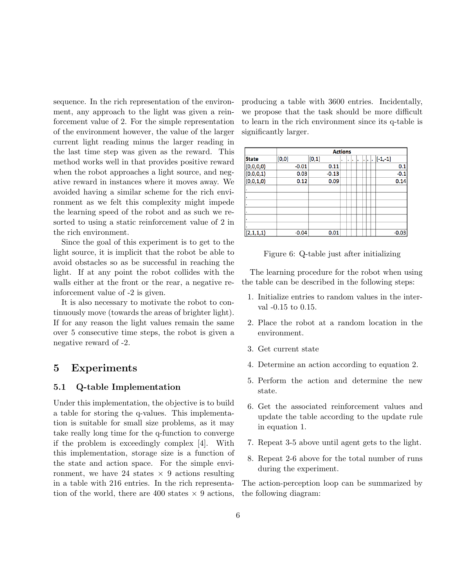sequence. In the rich representation of the environment, any approach to the light was given a reinforcement value of 2. For the simple representation of the environment however, the value of the larger current light reading minus the larger reading in the last time step was given as the reward. This method works well in that provides positive reward when the robot approaches a light source, and negative reward in instances where it moves away. We avoided having a similar scheme for the rich environment as we felt this complexity might impede the learning speed of the robot and as such we resorted to using a static reinforcement value of 2 in the rich environment.

Since the goal of this experiment is to get to the light source, it is implicit that the robot be able to avoid obstacles so as be successful in reaching the light. If at any point the robot collides with the walls either at the front or the rear, a negative reinforcement value of -2 is given.

It is also necessary to motivate the robot to continuously move (towards the areas of brighter light). If for any reason the light values remain the same over 5 consecutive time steps, the robot is given a negative reward of -2.

### 5 Experiments

### 5.1 Q-table Implementation

Under this implementation, the objective is to build a table for storing the q-values. This implementation is suitable for small size problems, as it may take really long time for the q-function to converge if the problem is exceedingly complex [4]. With this implementation, storage size is a function of the state and action space. For the simple environment, we have 24 states  $\times$  9 actions resulting in a table with 216 entries. In the rich representation of the world, there are 400 states  $\times$  9 actions, producing a table with 3600 entries. Incidentally, we propose that the task should be more difficult to learn in the rich environment since its q-table is significantly larger.

|              | <b>Actions</b> |         |   |   |   |   |    |   |           |         |
|--------------|----------------|---------|---|---|---|---|----|---|-----------|---------|
| <b>State</b> | [0,0]          | [0,1]   | ٠ | ٠ | ٠ | ٠ | ×. | ٠ | $[-1,-1]$ |         |
| (0,0,0,0)    | $-0.01$        | 0.11    |   |   |   |   |    |   |           | 0.1     |
| (0,0,0,1)    | 0.03           | $-0.13$ |   |   |   |   |    |   |           | $-0.1$  |
| (0,0,1,0)    | 0.12           | 0.09    |   |   |   |   |    |   |           | 0.14    |
|              |                |         |   |   |   |   |    |   |           |         |
|              |                |         |   |   |   |   |    |   |           |         |
|              |                |         |   |   |   |   |    |   |           |         |
|              |                |         |   |   |   |   |    |   |           |         |
|              |                |         |   |   |   |   |    |   |           |         |
|              |                |         |   |   |   |   |    |   |           |         |
| (2,1,1,1)    | $-0.04$        | 0.01    |   |   |   |   |    |   |           | $-0.03$ |

Figure 6: Q-table just after initializing

The learning procedure for the robot when using the table can be described in the following steps:

- 1. Initialize entries to random values in the interval -0.15 to 0.15.
- 2. Place the robot at a random location in the environment.
- 3. Get current state
- 4. Determine an action according to equation 2.
- 5. Perform the action and determine the new state.
- 6. Get the associated reinforcement values and update the table according to the update rule in equation 1.
- 7. Repeat 3-5 above until agent gets to the light.
- 8. Repeat 2-6 above for the total number of runs during the experiment.

The action-perception loop can be summarized by the following diagram: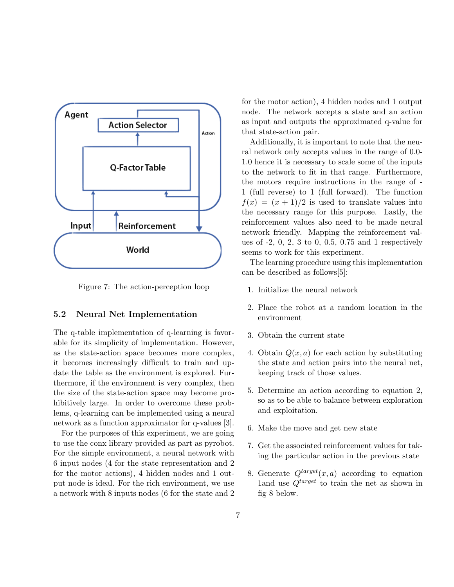

Figure 7: The action-perception loop

### 5.2 Neural Net Implementation

The q-table implementation of q-learning is favorable for its simplicity of implementation. However, as the state-action space becomes more complex, it becomes increasingly difficult to train and update the table as the environment is explored. Furthermore, if the environment is very complex, then the size of the state-action space may become prohibitively large. In order to overcome these problems, q-learning can be implemented using a neural network as a function approximator for q-values [3].

For the purposes of this experiment, we are going to use the conx library provided as part as pyrobot. For the simple environment, a neural network with 6 input nodes (4 for the state representation and 2 for the motor actions), 4 hidden nodes and 1 output node is ideal. For the rich environment, we use a network with 8 inputs nodes (6 for the state and 2 for the motor action), 4 hidden nodes and 1 output node. The network accepts a state and an action as input and outputs the approximated q-value for that state-action pair.

Additionally, it is important to note that the neural network only accepts values in the range of 0.0- 1.0 hence it is necessary to scale some of the inputs to the network to fit in that range. Furthermore, the motors require instructions in the range of - 1 (full reverse) to 1 (full forward). The function  $f(x) = (x + 1)/2$  is used to translate values into the necessary range for this purpose. Lastly, the reinforcement values also need to be made neural network friendly. Mapping the reinforcement values of -2, 0, 2, 3 to 0, 0.5, 0.75 and 1 respectively seems to work for this experiment.

The learning procedure using this implementation can be described as follows[5]:

- 1. Initialize the neural network
- 2. Place the robot at a random location in the environment
- 3. Obtain the current state
- 4. Obtain  $Q(x, a)$  for each action by substituting the state and action pairs into the neural net, keeping track of those values.
- 5. Determine an action according to equation 2, so as to be able to balance between exploration and exploitation.
- 6. Make the move and get new state
- 7. Get the associated reinforcement values for taking the particular action in the previous state
- 8. Generate  $Q^{target}(x, a)$  according to equation 1and use  $Q^{target}$  to train the net as shown in fig 8 below.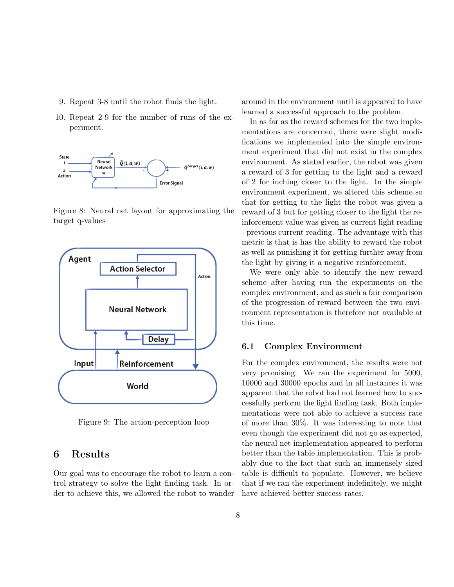- 9. Repeat 3-8 until the robot finds the light.
- 10. Repeat 2-9 for the number of runs of the experiment.



Figure 8: Neural net layout for approximating the target q-values



Figure 9: The action-perception loop

### 6 Results

Our goal was to encourage the robot to learn a control strategy to solve the light finding task. In order to achieve this, we allowed the robot to wander around in the environment until is appeared to have learned a successful approach to the problem.

In as far as the reward schemes for the two implementations are concerned, there were slight modifications we implemented into the simple environment experiment that did not exist in the complex environment. As stated earlier, the robot was given a reward of 3 for getting to the light and a reward of 2 for inching closer to the light. In the simple environment experiment, we altered this scheme so that for getting to the light the robot was given a reward of 3 but for getting closer to the light the reinforcement value was given as current light reading - previous current reading. The advantage with this metric is that is has the ability to reward the robot as well as punishing it for getting further away from the light by giving it a negative reinforcement.

We were only able to identify the new reward scheme after having run the experiments on the complex environment, and as such a fair comparison of the progression of reward between the two environment representation is therefore not available at this time.

### 6.1 Complex Environment

For the complex environment, the results were not very promising. We ran the experiment for 5000, 10000 and 30000 epochs and in all instances it was apparent that the robot had not learned how to successfully perform the light finding task. Both implementations were not able to achieve a success rate of more than 30%. It was interesting to note that even though the experiment did not go as expected, the neural net implementation appeared to perform better than the table implementation. This is probably due to the fact that such an immensely sized table is difficult to populate. However, we believe that if we ran the experiment indefinitely, we might have achieved better success rates.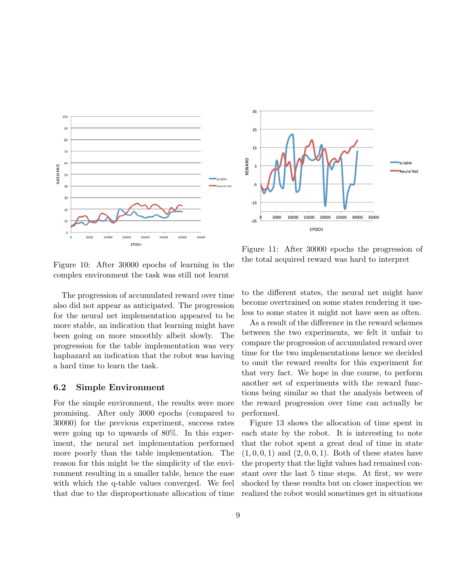

35 25 15 REWARD **Neural Net** -5  $-15$ 30000 35000 5000 10000 15000 20000 25000  $-25$ EPOCH

Figure 10: After 30000 epochs of learning in the complex environment the task was still not learnt

The progression of accumulated reward over time also did not appear as anticipated. The progression for the neural net implementation appeared to be more stable, an indication that learning might have been going on more smoothly albeit slowly. The progression for the table implementation was very haphazard an indication that the robot was having a hard time to learn the task.

### 6.2 Simple Environment

For the simple environment, the results were more promising. After only 3000 epochs (compared to 30000) for the previous experiment, success rates were going up to upwards of 80%. In this experiment, the neural net implementation performed more poorly than the table implementation. The reason for this might be the simplicity of the environment resulting in a smaller table, hence the ease with which the q-table values converged. We feel that due to the disproportionate allocation of time

Figure 11: After 30000 epochs the progression of the total acquired reward was hard to interpret

to the different states, the neural net might have become overtrained on some states rendering it useless to some states it might not have seen as often.

As a result of the difference in the reward schemes between the two experiments, we felt it unfair to compare the progression of accumulated reward over time for the two implementations hence we decided to omit the reward results for this experiment for that very fact. We hope in due course, to perform another set of experiments with the reward functions being similar so that the analysis between of the reward progression over time can actually be performed.

Figure 13 shows the allocation of time spent in each state by the robot. It is interesting to note that the robot spent a great deal of time in state  $(1, 0, 0, 1)$  and  $(2, 0, 0, 1)$ . Both of these states have the property that the light values had remained constant over the last 5 time steps. At first, we were shocked by these results but on closer inspection we realized the robot would sometimes get in situations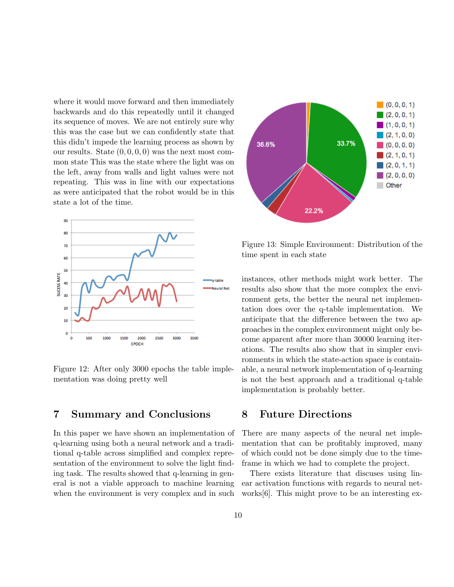where it would move forward and then immediately backwards and do this repeatedly until it changed its sequence of moves. We are not entirely sure why this was the case but we can confidently state that this didn't impede the learning process as shown by our results. State  $(0, 0, 0, 0)$  was the next most common state This was the state where the light was on the left, away from walls and light values were not repeating. This was in line with our expectations as were anticipated that the robot would be in this state a lot of the time.



Figure 12: After only 3000 epochs the table implementation was doing pretty well

### 7 Summary and Conclusions

In this paper we have shown an implementation of q-learning using both a neural network and a traditional q-table across simplified and complex representation of the environment to solve the light finding task. The results showed that q-learning in general is not a viable approach to machine learning when the environment is very complex and in such



Figure 13: Simple Environment: Distribution of the time spent in each state

instances, other methods might work better. The results also show that the more complex the environment gets, the better the neural net implementation does over the q-table implementation. We anticipate that the difference between the two approaches in the complex environment might only become apparent after more than 30000 learning iterations. The results also show that in simpler environments in which the state-action space is containable, a neural network implementation of q-learning is not the best approach and a traditional q-table implementation is probably better.

### 8 Future Directions

There are many aspects of the neural net implementation that can be profitably improved, many of which could not be done simply due to the timeframe in which we had to complete the project.

There exists literature that discuses using linear activation functions with regards to neural networks[6]. This might prove to be an interesting ex